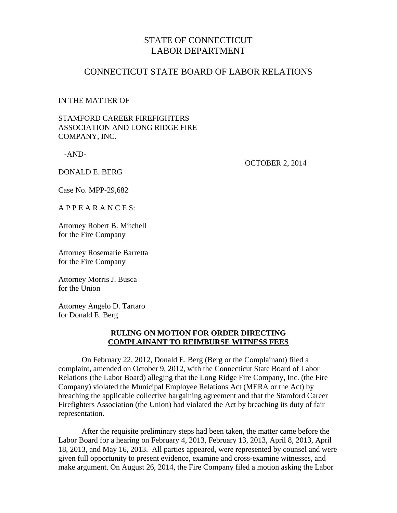# STATE OF CONNECTICUT LABOR DEPARTMENT

## CONNECTICUT STATE BOARD OF LABOR RELATIONS

#### IN THE MATTER OF

### STAMFORD CAREER FIREFIGHTERS ASSOCIATION AND LONG RIDGE FIRE COMPANY, INC.

-AND-

OCTOBER 2, 2014

DONALD E. BERG

Case No. MPP-29,682

A P P E A R A N C E S:

Attorney Robert B. Mitchell for the Fire Company

Attorney Rosemarie Barretta for the Fire Company

Attorney Morris J. Busca for the Union

Attorney Angelo D. Tartaro for Donald E. Berg

### **RULING ON MOTION FOR ORDER DIRECTING COMPLAINANT TO REIMBURSE WITNESS FEES**

 On February 22, 2012, Donald E. Berg (Berg or the Complainant) filed a complaint, amended on October 9, 2012, with the Connecticut State Board of Labor Relations (the Labor Board) alleging that the Long Ridge Fire Company, Inc. (the Fire Company) violated the Municipal Employee Relations Act (MERA or the Act) by breaching the applicable collective bargaining agreement and that the Stamford Career Firefighters Association (the Union) had violated the Act by breaching its duty of fair representation.

After the requisite preliminary steps had been taken, the matter came before the Labor Board for a hearing on February 4, 2013, February 13, 2013, April 8, 2013, April 18, 2013, and May 16, 2013. All parties appeared, were represented by counsel and were given full opportunity to present evidence, examine and cross-examine witnesses, and make argument. On August 26, 2014, the Fire Company filed a motion asking the Labor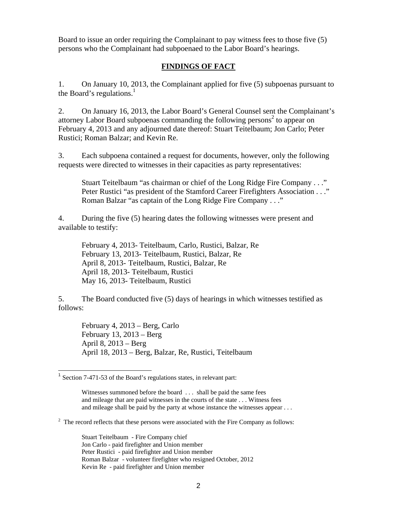Board to issue an order requiring the Complainant to pay witness fees to those five (5) persons who the Complainant had subpoenaed to the Labor Board's hearings.

### **FINDINGS OF FACT**

1. On January 10, 2013, the Complainant applied for five (5) subpoenas pursuant to the Board's regulations. $<sup>1</sup>$ </sup>

2. On January 16, 2013, the Labor Board's General Counsel sent the Complainant's attorney Labor Board subpoenas commanding the following persons<sup>2</sup> to appear on February 4, 2013 and any adjourned date thereof: Stuart Teitelbaum; Jon Carlo; Peter Rustici; Roman Balzar; and Kevin Re.

3. Each subpoena contained a request for documents, however, only the following requests were directed to witnesses in their capacities as party representatives:

Stuart Teitelbaum "as chairman or chief of the Long Ridge Fire Company . . ." Peter Rustici "as president of the Stamford Career Firefighters Association . . ." Roman Balzar "as captain of the Long Ridge Fire Company . . ."

4. During the five (5) hearing dates the following witnesses were present and available to testify:

 February 4, 2013- Teitelbaum, Carlo, Rustici, Balzar, Re February 13, 2013- Teitelbaum, Rustici, Balzar, Re April 8, 2013- Teitelbaum, Rustici, Balzar, Re April 18, 2013- Teitelbaum, Rustici May 16, 2013- Teitelbaum, Rustici

5. The Board conducted five (5) days of hearings in which witnesses testified as follows:

 February 4, 2013 – Berg, Carlo February 13, 2013 – Berg April 8, 2013 – Berg April 18, 2013 – Berg, Balzar, Re, Rustici, Teitelbaum

 $2^2$  The record reflects that these persons were associated with the Fire Company as follows:

 Stuart Teitelbaum - Fire Company chief Jon Carlo - paid firefighter and Union member Peter Rustici - paid firefighter and Union member Roman Balzar - volunteer firefighter who resigned October, 2012 Kevin Re - paid firefighter and Union member

<sup>&</sup>lt;sup>1</sup> Section 7-471-53 of the Board's regulations states, in relevant part:

Witnesses summoned before the board ... shall be paid the same fees and mileage that are paid witnesses in the courts of the state . . . Witness fees and mileage shall be paid by the party at whose instance the witnesses appear . . .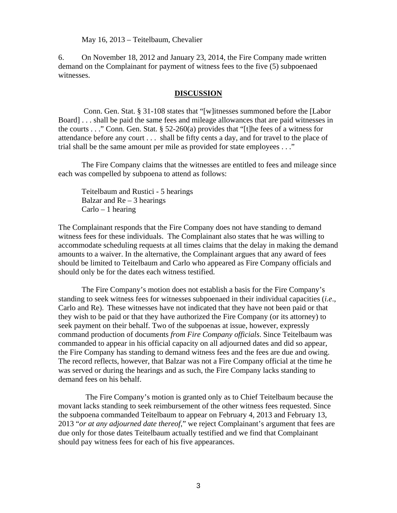May 16, 2013 – Teitelbaum, Chevalier

6. On November 18, 2012 and January 23, 2014, the Fire Company made written demand on the Complainant for payment of witness fees to the five (5) subpoenaed witnesses.

#### **DISCUSSION**

 Conn. Gen. Stat. § 31-108 states that "[w]itnesses summoned before the [Labor Board] . . . shall be paid the same fees and mileage allowances that are paid witnesses in the courts . . ." Conn. Gen. Stat. § 52-260(a) provides that "[t] he fees of a witness for attendance before any court . . . shall be fifty cents a day, and for travel to the place of trial shall be the same amount per mile as provided for state employees . . ."

 The Fire Company claims that the witnesses are entitled to fees and mileage since each was compelled by subpoena to attend as follows:

 Teitelbaum and Rustici - 5 hearings Balzar and  $Re-3$  hearings  $Carlo - 1$  hearing

The Complainant responds that the Fire Company does not have standing to demand witness fees for these individuals. The Complainant also states that he was willing to accommodate scheduling requests at all times claims that the delay in making the demand amounts to a waiver. In the alternative, the Complainant argues that any award of fees should be limited to Teitelbaum and Carlo who appeared as Fire Company officials and should only be for the dates each witness testified.

 The Fire Company's motion does not establish a basis for the Fire Company's standing to seek witness fees for witnesses subpoenaed in their individual capacities (*i.e*., Carlo and Re). These witnesses have not indicated that they have not been paid or that they wish to be paid or that they have authorized the Fire Company (or its attorney) to seek payment on their behalf. Two of the subpoenas at issue, however, expressly command production of documents *from Fire Company officials*. Since Teitelbaum was commanded to appear in his official capacity on all adjourned dates and did so appear, the Fire Company has standing to demand witness fees and the fees are due and owing. The record reflects, however, that Balzar was not a Fire Company official at the time he was served or during the hearings and as such, the Fire Company lacks standing to demand fees on his behalf.

 The Fire Company's motion is granted only as to Chief Teitelbaum because the movant lacks standing to seek reimbursement of the other witness fees requested. Since the subpoena commanded Teitelbaum to appear on February 4, 2013 and February 13, 2013 "*or at any adjourned date thereof*," we reject Complainant's argument that fees are due only for those dates Teitelbaum actually testified and we find that Complainant should pay witness fees for each of his five appearances.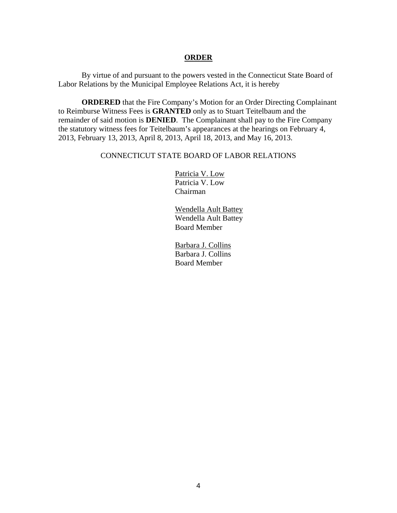#### **ORDER**

By virtue of and pursuant to the powers vested in the Connecticut State Board of Labor Relations by the Municipal Employee Relations Act, it is hereby

**ORDERED** that the Fire Company's Motion for an Order Directing Complainant to Reimburse Witness Fees is **GRANTED** only as to Stuart Teitelbaum and the remainder of said motion is **DENIED**. The Complainant shall pay to the Fire Company the statutory witness fees for Teitelbaum's appearances at the hearings on February 4, 2013, February 13, 2013, April 8, 2013, April 18, 2013, and May 16, 2013.

#### CONNECTICUT STATE BOARD OF LABOR RELATIONS

Patricia V. Low Patricia V. Low Chairman

Wendella Ault Battey Wendella Ault Battey Board Member

Barbara J. Collins Barbara J. Collins Board Member